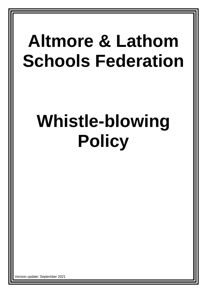## **Altmore & Lathom Schools Federation**

# **Whistle-blowing Policy**

ersion update: September 2021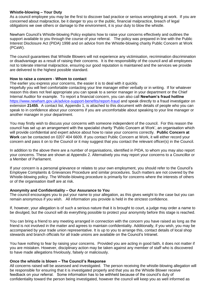#### **Whistle-blowing – Your Duty**

As a council employee you may be the first to discover bad practice or serious wrongdoing at work. If you are concerned about malpractice, be it danger to you or the public, financial malpractice, breach of legal obligations we owe others or damage to the environment, it is your duty to blow the whistle.

Newham Council's Whistle-blowing Policy explains how to raise your concerns effectively and outlines the support available to you through the course of your referral. The policy was prepared in line with the Public Interest Disclosure Act (PIDA) 1998 and on advice from the Whistle-blowing charity Public Concern at Work (PCaW).

The council guarantees that Whistle Blowers will not experience any victimisation, recrimination discrimination or disadvantage as a result of raising their concerns. It is the responsibility of the council and all employees not to tolerate internal malpractice, ensuring our good reputation is maintained and the services we provide are delivered to the highest possible standard.

#### **How to raise a concern - Whom to contact**

The earlier you express your concerns, the easier it is to deal with it quickly.

Hopefully you will feel comfortable contacting your line manager either verbally or in writing. If for whatever reason this does not feel appropriate you can speak to a senior manager in your department or the Chief Internal Auditor for example. To report a financial concern, you can also call **Newham's fraud hotline** <https://www.newham.gov.uk/advice-support-benefits/report-fraud> and speak directly to a fraud investigator on extension **21455**. A contact list, Appendix 1, is attached to this document with details of people who you can speak to in confidence about your concerns if you are uncomfortable about speaking to your line manager or another manager in your department.

You may firstly wish to discuss your concerns with someone independent of the council. For this reason the council has set up an arrangement with the specialist charity 'Public Concern at Work', an organisation which will provide confidential and expert advice about how to raise your concerns correctly. **Public Concern at Work** can be contacted on 0207 404 6609. If you contact Public Concern at Work, it will either record your concern and pass it on to the Council or it may suggest that you contact the relevant officer(s) in the Council.

In addition to the above there are a number of organisations, identified in PIDA, to whom you may also report your concerns. These are shown at Appendix 2. Alternatively you may report your concerns to a Councillor or a Member of Parliament.

If your concern is a personal grievance or relates to your own employment, you should refer to the Council's Employee Complaints & Grievances Procedure and similar procedures. Such matters are not covered by the Whistle-blowing policy. The Whistle-blowing procedure is primarily for concerns where the interests of others or of the organisation itself are at risk.

#### **Anonymity and Confidentiality – Our Assurance to You**

The council encourages you to put your name to your allegation, as this gives weight to the case but you can remain anonymous if you wish. All information you provide is held in the strictest confidence.

If, however, your allegation is of such a serious nature that it is brought to court, a judge may order a name to be divulged, but the council will do everything possible to protect your anonymity before this stage is reached.

You can bring a friend to any meeting arranged in connection with the concern you have raised as long as the friend is not involved in the matter and agrees to maintain confidentiality. Additionally, if you wish, you may be accompanied by your trade union representative. It is up to you to arrange this, contact details of local shop stewards and branch officials for all trade unions are available on the Council's Intranet.

You have nothing to fear by raising your concerns. Provided you are acting in good faith, it does not matter if you are mistaken. However, disciplinary action may be taken against any member of staff who is discovered to have made allegations frivolously, falsely or maliciously.

#### **Once the whistle is blown – The Council's Response**

All concerns raised will be assessed and investigated. The person receiving the whistle-blowing allegation will be responsible for ensuring that it is investigated properly and that you as the Whistle Blower receive feedback on your referral. Some information has to be withheld because of the council's duty of confidentiality toward the person being investigated, however the council will keep you as well informed as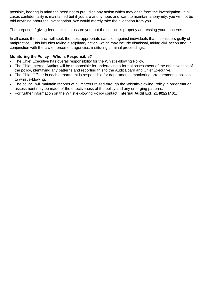possible, bearing in mind the need not to prejudice any action which may arise from the investigation. In all cases confidentiality is maintained but if you are anonymous and want to maintain anonymity, you will not be told anything about the investigation. We would merely take the allegation from you.

The purpose of giving feedback is to assure you that the council is properly addressing your concerns.

In all cases the council will seek the most appropriate sanction against individuals that it considers guilty of malpractice. This includes taking disciplinary action, which may include dismissal, taking civil action and, in conjunction with the law enforcement agencies, instituting criminal proceedings.

#### **Monitoring the Policy – Who is Responsible?**

- The Chief Executive has overall responsibility for the Whistle-blowing Policy.
- The Chief Internal Auditor will be responsible for undertaking a formal assessment of the effectiveness of the policy, identifying any patterns and reporting this to the Audit Board and Chief Executive.
- The Chief Officer in each department is responsible for departmental monitoring arrangements applicable to whistle-blowing.
- The council will maintain records of all matters raised through the Whistle-blowing Policy in order that an assessment may be made of the effectiveness of the policy and any emerging patterns.
- For further information on the Whistle-blowing Policy contact: **Internal Audit Ext: 21402/21401.**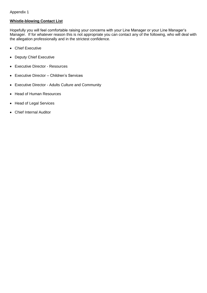### **Whistle-blowing Contact List**

Hopefully you will feel comfortable raising your concerns with your Line Manager or your Line Manager's Manager. If for whatever reason this is not appropriate you can contact any of the following, who will deal with the allegation professionally and in the strictest confidence.

- Chief Executive
- Deputy Chief Executive
- Executive Director Resources
- Executive Director Children's Services
- Executive Director Adults Culture and Community
- Head of Human Resources
- Head of Legal Services
- Chief Internal Auditor